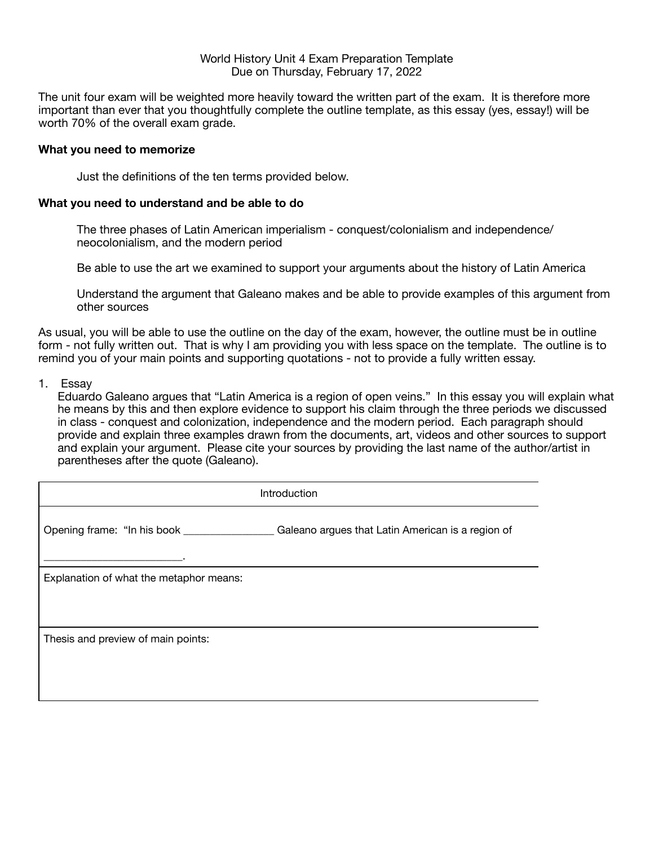# World History Unit 4 Exam Preparation Template Due on Thursday, February 17, 2022

The unit four exam will be weighted more heavily toward the written part of the exam. It is therefore more important than ever that you thoughtfully complete the outline template, as this essay (yes, essay!) will be worth 70% of the overall exam grade.

# **What you need to memorize**

Just the definitions of the ten terms provided below.

### **What you need to understand and be able to do**

The three phases of Latin American imperialism - conquest/colonialism and independence/ neocolonialism, and the modern period

Be able to use the art we examined to support your arguments about the history of Latin America

Understand the argument that Galeano makes and be able to provide examples of this argument from other sources

As usual, you will be able to use the outline on the day of the exam, however, the outline must be in outline form - not fully written out. That is why I am providing you with less space on the template. The outline is to remind you of your main points and supporting quotations - not to provide a fully written essay.

#### 1. Essay

Eduardo Galeano argues that "Latin America is a region of open veins." In this essay you will explain what he means by this and then explore evidence to support his claim through the three periods we discussed in class - conquest and colonization, independence and the modern period. Each paragraph should provide and explain three examples drawn from the documents, art, videos and other sources to support and explain your argument. Please cite your sources by providing the last name of the author/artist in parentheses after the quote (Galeano).

| Introduction                            |                                                   |  |
|-----------------------------------------|---------------------------------------------------|--|
| Opening frame: "In his book _________   | Galeano argues that Latin American is a region of |  |
| Explanation of what the metaphor means: |                                                   |  |
| Thesis and preview of main points:      |                                                   |  |
|                                         |                                                   |  |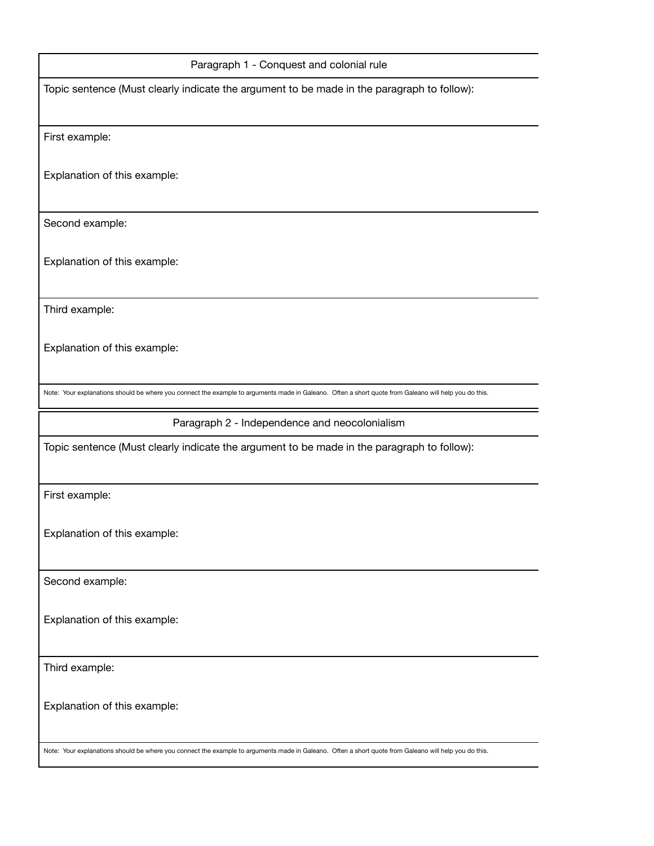| Paragraph 1 - Conquest and colonial rule                                                                                                              |  |
|-------------------------------------------------------------------------------------------------------------------------------------------------------|--|
| Topic sentence (Must clearly indicate the argument to be made in the paragraph to follow):                                                            |  |
| First example:                                                                                                                                        |  |
| Explanation of this example:                                                                                                                          |  |
| Second example:                                                                                                                                       |  |
| Explanation of this example:                                                                                                                          |  |
| Third example:                                                                                                                                        |  |
| Explanation of this example:                                                                                                                          |  |
| Note: Your explanations should be where you connect the example to arguments made in Galeano. Often a short quote from Galeano will help you do this. |  |
| Paragraph 2 - Independence and neocolonialism                                                                                                         |  |
| Topic sentence (Must clearly indicate the argument to be made in the paragraph to follow):                                                            |  |
| First example:                                                                                                                                        |  |
| Explanation of this example:                                                                                                                          |  |
| Second example:                                                                                                                                       |  |
| Explanation of this example:                                                                                                                          |  |
| Third example:                                                                                                                                        |  |
| Explanation of this example:                                                                                                                          |  |
| Note: Your explanations should be where you connect the example to arguments made in Galeano. Often a short quote from Galeano will help you do this. |  |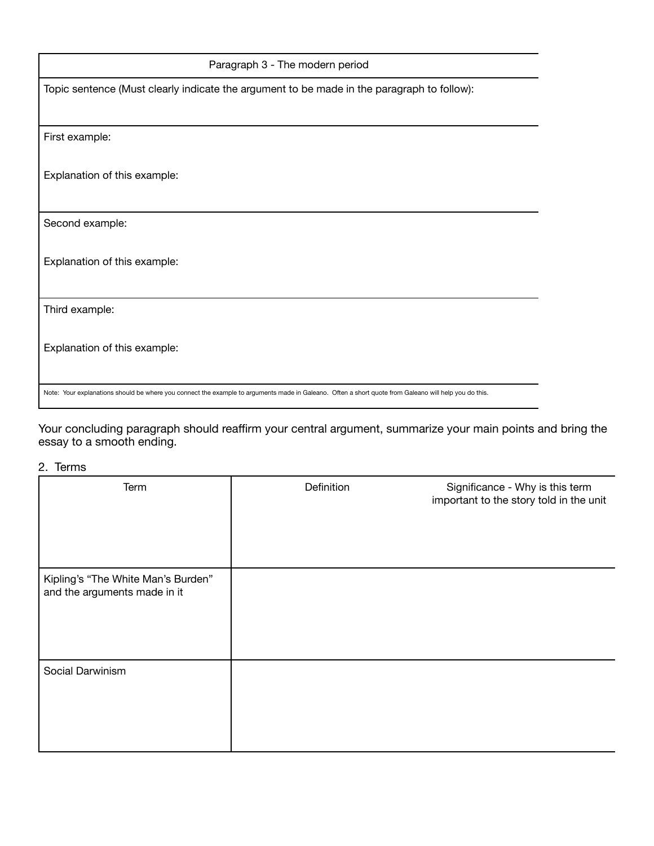| Paragraph 3 - The modern period                                                                                                                       |  |  |  |  |
|-------------------------------------------------------------------------------------------------------------------------------------------------------|--|--|--|--|
| Topic sentence (Must clearly indicate the argument to be made in the paragraph to follow):                                                            |  |  |  |  |
|                                                                                                                                                       |  |  |  |  |
| First example:                                                                                                                                        |  |  |  |  |
| Explanation of this example:                                                                                                                          |  |  |  |  |
| Second example:                                                                                                                                       |  |  |  |  |
| Explanation of this example:                                                                                                                          |  |  |  |  |
| Third example:                                                                                                                                        |  |  |  |  |
| Explanation of this example:                                                                                                                          |  |  |  |  |
| Note: Your explanations should be where you connect the example to arguments made in Galeano. Often a short quote from Galeano will help you do this. |  |  |  |  |

Your concluding paragraph should reaffirm your central argument, summarize your main points and bring the essay to a smooth ending.

# 2. Terms

| Term                                                               | Definition | Significance - Why is this term<br>important to the story told in the unit |
|--------------------------------------------------------------------|------------|----------------------------------------------------------------------------|
| Kipling's "The White Man's Burden"<br>and the arguments made in it |            |                                                                            |
| Social Darwinism                                                   |            |                                                                            |